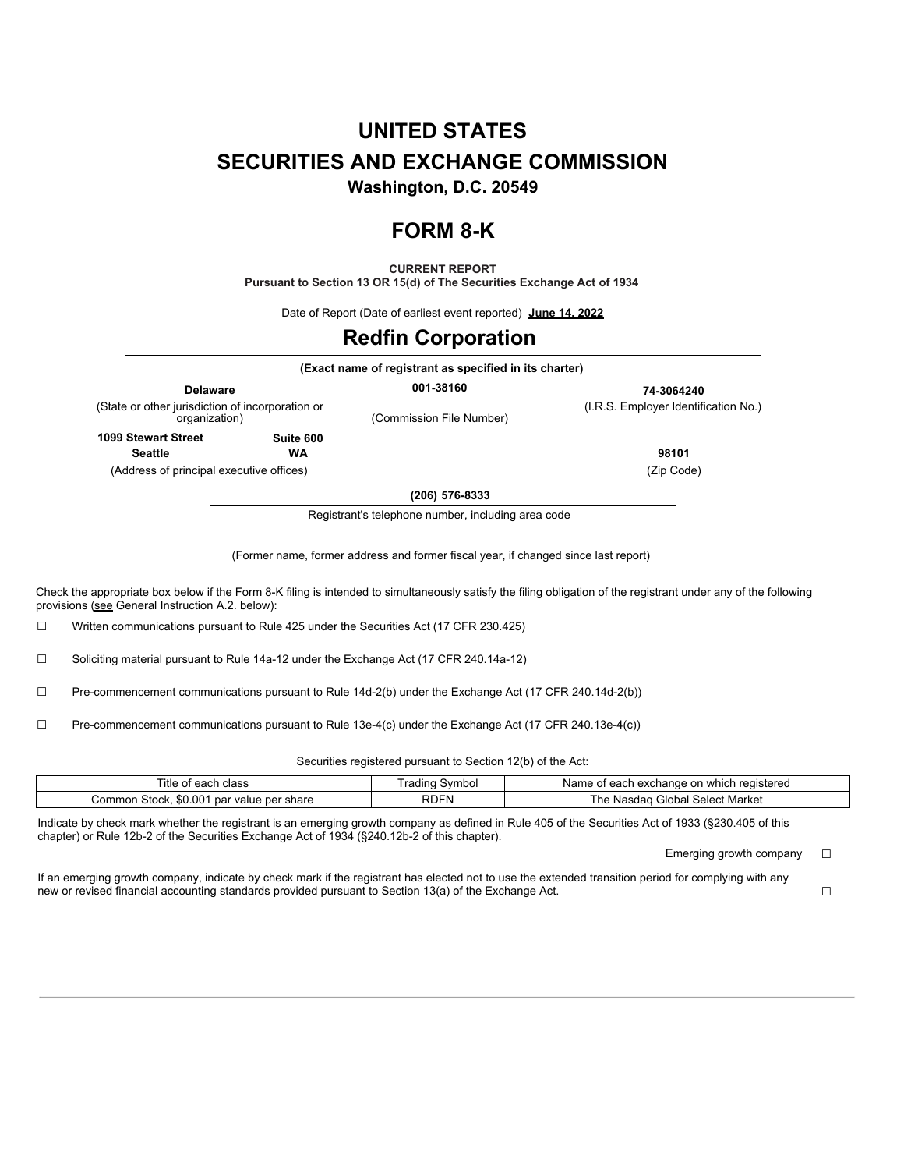# **UNITED STATES SECURITIES AND EXCHANGE COMMISSION**

**Washington, D.C. 20549**

# **FORM 8-K**

**CURRENT REPORT**

**Pursuant to Section 13 OR 15(d) of The Securities Exchange Act of 1934**

Date of Report (Date of earliest event reported) **June 14, 2022**

### **Redfin Corporation**

|                                                                                      |           | (Exact name of registrant as specified in its charter) |                                      |  |
|--------------------------------------------------------------------------------------|-----------|--------------------------------------------------------|--------------------------------------|--|
| <b>Delaware</b><br>(State or other jurisdiction of incorporation or<br>organization) |           | 001-38160                                              | 74-3064240                           |  |
|                                                                                      |           | (Commission File Number)                               | (I.R.S. Employer Identification No.) |  |
| 1099 Stewart Street                                                                  | Suite 600 |                                                        |                                      |  |
| <b>Seattle</b>                                                                       | <b>WA</b> |                                                        | 98101                                |  |
| (Address of principal executive offices)                                             |           |                                                        | (Zip Code)                           |  |
|                                                                                      |           | (206) 576-8333                                         |                                      |  |

Registrant's telephone number, including area code

(Former name, former address and former fiscal year, if changed since last report)

Check the appropriate box below if the Form 8-K filing is intended to simultaneously satisfy the filing obligation of the registrant under any of the following provisions (see General Instruction A.2. below):

☐ Written communications pursuant to Rule 425 under the Securities Act (17 CFR 230.425)

☐ Soliciting material pursuant to Rule 14a-12 under the Exchange Act (17 CFR 240.14a-12)

☐ Pre-commencement communications pursuant to Rule 14d-2(b) under the Exchange Act (17 CFR 240.14d-2(b))

☐ Pre-commencement communications pursuant to Rule 13e-4(c) under the Exchange Act (17 CFR 240.13e-4(c))

Securities registered pursuant to Section 12(b) of the Act:

| --<br>⊧class<br>l itle of each                              | svmbo<br>rading | h exchange on which registered.<br>Name of<br>, each |
|-------------------------------------------------------------|-----------------|------------------------------------------------------|
| \$0.00 <sup>4</sup><br>Common Stock,<br>par value per share | <b>RDFN</b>     | Select Market<br>ı Global<br>asdad<br>ь.<br>. Nas⁄   |

Indicate by check mark whether the registrant is an emerging growth company as defined in Rule 405 of the Securities Act of 1933 (§230.405 of this chapter) or Rule 12b-2 of the Securities Exchange Act of 1934 (§240.12b-2 of this chapter).

Emerging growth company  $\Box$ 

If an emerging growth company, indicate by check mark if the registrant has elected not to use the extended transition period for complying with any new or revised financial accounting standards provided pursuant to Section 13(a) of the Exchange Act. □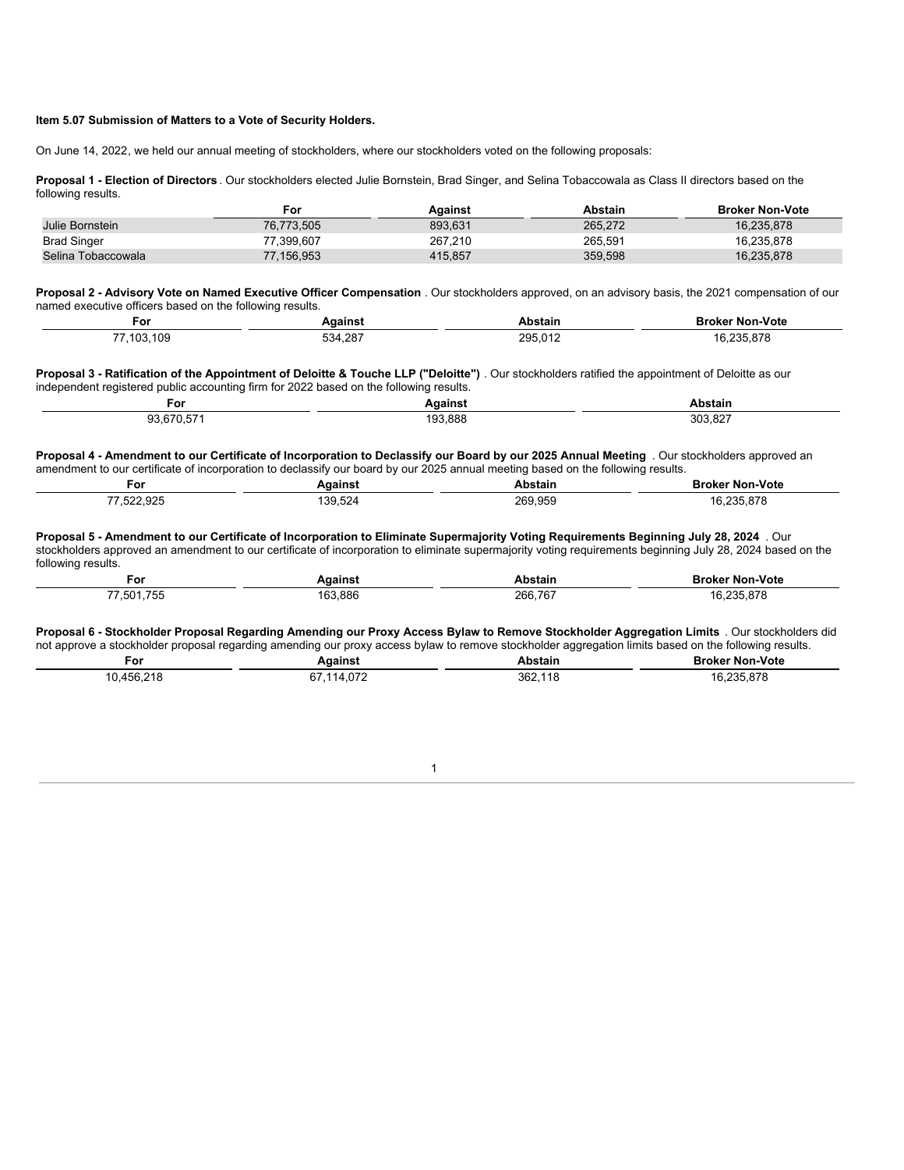#### **Item 5.07 Submission of Matters to a Vote of Security Holders.**

On June 14, 2022, we held our annual meeting of stockholders, where our stockholders voted on the following proposals:

**Proposal 1 - Election of Directors** . Our stockholders elected Julie Bornstein, Brad Singer, and Selina Tobaccowala as Class II directors based on the following results.

|                    | For        | Aɑainst | <b>Abstain</b> | <b>Broker Non-Vote</b> |
|--------------------|------------|---------|----------------|------------------------|
| Julie Bornstein    | 76.773.505 | 893.631 | 265.272        | 16.235.878             |
| <b>Brad Singer</b> | 77.399.607 | 267.210 | 265.591        | 16.235.878             |
| Selina Tobaccowala | 77.156.953 | 415,857 | 359,598        | 16,235,878             |

**Proposal 2 - Advisory Vote on Named Executive Officer Compensation** . Our stockholders approved, on an advisory basis, the 2021 compensation of our named executive officers based on the following results.

| For                                     | <b>Adainst</b>                          | Abstair | ∵Non-Vote<br>™∩k               |
|-----------------------------------------|-----------------------------------------|---------|--------------------------------|
| 109<br>77.400<br>. UJ.<br>$\sim$ $\sim$ | 4,287<br>$\sim$ $\sim$<br>O34<br>$\sim$ | 295.012 | <b>OOE 070</b><br>.,, L<br>$-$ |

Proposal 3 - Ratification of the Appointment of Deloitte & Touche LLP ("Deloitte") . Our stockholders ratified the appointment of Deloitte as our independent registered public accounting firm for 2022 based on the following results.

| ∙or<br>___                                      | $-1 - 1$<br>.gains | .                                                                          |
|-------------------------------------------------|--------------------|----------------------------------------------------------------------------|
| $\sim$<br>$\sim$ $\sim$<br>$\sim$ $\sim$ $\sim$ | .888<br>---        | .007<br>$\sim$<br>3U.<br>∖.o∠<br>$\sim$ $\sim$ $\sim$ $\sim$ $\sim$ $\sim$ |

Proposal 4 - Amendment to our Certificate of Incorporation to Declassify our Board by our 2025 Annual Meeting . Our stockholders approved an amendment to our certificate of incorporation to declassify our board by our 2025 annual meeting based on the following results.

| וט־                                            |                                   |                                         | оте           |
|------------------------------------------------|-----------------------------------|-----------------------------------------|---------------|
|                                                |                                   | .                                       |               |
| $\sim$<br>--<br>$\sim$ $\sim$<br>$\sim$ $\sim$ | ٩a<br>$\sim$ $\sim$ $\sim$ $\sim$ | 050<br>วคด<br>$\sim$ $\sim$ $\sim$<br>. | $\sim$<br>___ |

Proposal 5 - Amendment to our Certificate of Incorporation to Eliminate Supermajority Voting Requirements Beginning July 28, 2024 . Our stockholders approved an amendment to our certificate of incorporation to eliminate supermajority voting requirements beginning July 28, 2024 based on the following results.

| For                                                                                                   | <b>vaainst</b>      | Abstain                  | Broker<br>' Non-Vote                   |
|-------------------------------------------------------------------------------------------------------|---------------------|--------------------------|----------------------------------------|
| ----<br>$\rightarrow$ $\rightarrow$ $\rightarrow$ $\rightarrow$<br>.5UT<br>155<br>ູບ<br>$\sim$ $\sim$ | 163,886<br>าหา<br>. | 266,767<br>$\sim$ $\sim$ | $\sim$<br>$\sim$ $\sim$ $\sim$<br>$ -$ |

Proposal 6 - Stockholder Proposal Regarding Amending our Proxy Access Bylaw to Remove Stockholder Aggregation Limits . Our stockholders did not approve a stockholder proposal regarding amending our proxy access bylaw to remove stockholder aggregation limits based on the following results.

| For                  | Aɑainst                                                               | Abstain         | <b>Broker Non-Vote</b> |
|----------------------|-----------------------------------------------------------------------|-----------------|------------------------|
| 10.456.218<br>$\sim$ | 114 072<br>67<br>$\sim$ U I $\sim$<br>the contract of the contract of | 362,115<br>$ -$ | R 235 878<br>$\sim$    |

1